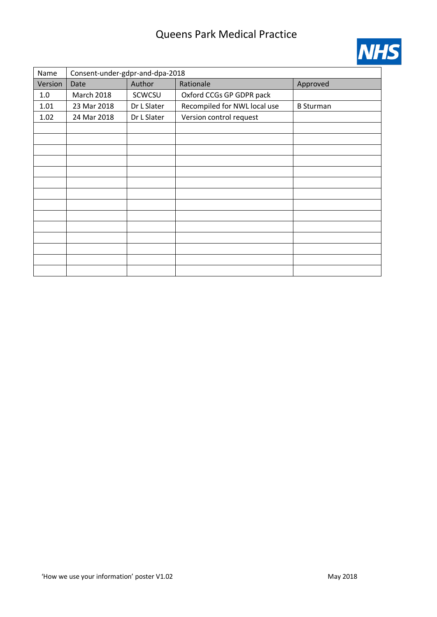## Queens Park Medical Practice



| Name    | Consent-under-gdpr-and-dpa-2018 |             |                              |                  |
|---------|---------------------------------|-------------|------------------------------|------------------|
| Version | Date                            | Author      | Rationale                    | Approved         |
| 1.0     | <b>March 2018</b>               | SCWCSU      | Oxford CCGs GP GDPR pack     |                  |
| 1.01    | 23 Mar 2018                     | Dr L Slater | Recompiled for NWL local use | <b>B</b> Sturman |
| 1.02    | 24 Mar 2018                     | Dr L Slater | Version control request      |                  |
|         |                                 |             |                              |                  |
|         |                                 |             |                              |                  |
|         |                                 |             |                              |                  |
|         |                                 |             |                              |                  |
|         |                                 |             |                              |                  |
|         |                                 |             |                              |                  |
|         |                                 |             |                              |                  |
|         |                                 |             |                              |                  |
|         |                                 |             |                              |                  |
|         |                                 |             |                              |                  |
|         |                                 |             |                              |                  |
|         |                                 |             |                              |                  |
|         |                                 |             |                              |                  |
|         |                                 |             |                              |                  |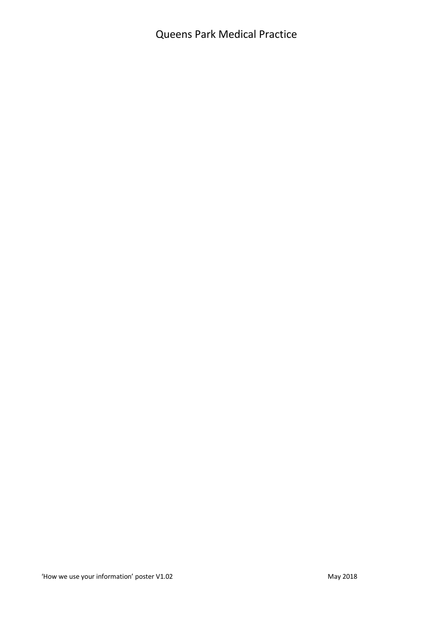Queens Park Medical Practice